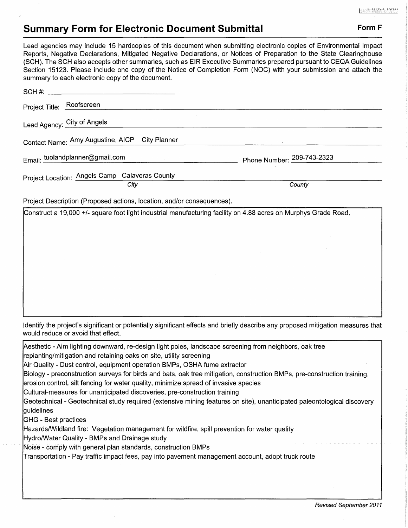## **Summary Form for Electronic Document Submittal Form F Form F**

Lead agencies may include 15 hardcopies of this document when submitting electronic copies of Environmental Impact Reports, Negative Declarations, Mitigated Negative Declarations, or Notices of Preparation to the State Clearinghouse (SCH). The SCH also accepts other summaries, such as EIR Executive Summaries prepared pursuant to CEQA Guidelines Section 15123. Please include one copy of the Notice of Completion Form (NOC) with your submission and attach the summary to each electronic copy of the document.

| banniary to each crock crite copy of the accentrative                                                           |                            |
|-----------------------------------------------------------------------------------------------------------------|----------------------------|
|                                                                                                                 |                            |
| Project Title: Roofscreen                                                                                       |                            |
| Lead Agency: City of Angels                                                                                     |                            |
| Contact Name: Amy Augustine, AICP City Planner                                                                  |                            |
| Email: tuolandplanner@gmail.com                                                                                 | Phone Number: 209-743-2323 |
| Project Location: Angels Camp Calaveras County                                                                  |                            |
| City                                                                                                            | County                     |
| Project Description (Proposed actions, location, and/or consequences).                                          |                            |
| Construct a 19,000 +/- square foot light industrial manufacturing facility on 4.88 acres on Murphys Grade Road. |                            |

Identify the project's significant or potentially significant effects and briefly describe any proposed mitigation measures that would reduce or avoid that effect.

Aesthetic - Aim lighting downward, re-design light poles, landscape screening from neighbors, oak tree replanting/mitigation and retaining oaks on site, utility screening Air Quality - Dust control, equipment operation BMPs, OSHA fume extractor Biology - preconstruction surveys for birds and bats, oak tree mitigation, construction BMPs, pre-construction training, erosion control, silt fencing for water quality, minimize spread of invasive species Cultural-measures for unanticipated discoveries, pre-construction training Geotechnical - Geotechnical study required (extensive mining features on site), unanticipated paleontological discovery guidelines GHG - Best practices Hazards/Wildland fire: Vegetation management for wildfire, spill prevention for water quality Hydro/Water Quality - BMPs and Drainage study Noise - comply with general plan standards, construction BMPs Transportation - Pay traffic impact fees, pay into pavement management account, adopt truck route